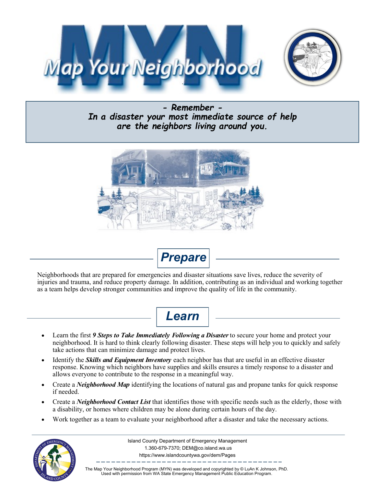



*- Remember - In a disaster your most immediate source of help are the neighbors living around you.* 





Neighborhoods that are prepared for emergencies and disaster situations save lives, reduce the severity of injuries and trauma, and reduce property damage. In addition, contributing as an individual and working together as a team helps develop stronger communities and improve the quality of life in the community.



- Learn the first 9 Steps to Take Immediately Following a Disaster to secure your home and protect your neighborhood. It is hard to think clearly following disaster. These steps will help you to quickly and safely take actions that can minimize damage and protect lives.
- Identify the *Skills and Equipment Inventory* each neighbor has that are useful in an effective disaster response. Knowing which neighbors have supplies and skills ensures a timely response to a disaster and allows everyone to contribute to the response in a meaningful way.
- Create a *Neighborhood Map* identifying the locations of natural gas and propane tanks for quick response if needed.
- Create a *Neighborhood Contact List* that identifies those with specific needs such as the elderly, those with a disability, or homes where children may be alone during certain hours of the day.
- Work together as a team to evaluate your neighborhood after a disaster and take the necessary actions.



Island County Department of Emergency Management 1.360-679-7370; [DEM@co.island.wa.us](mailto:PublicEducation@emd.wa.gov) https://www.islandcountywa.gov/dem/Pages

The Map Your Neighborhood Program (MYN) was developed and copyrighted by © LuAn K Johnson, PhD. Used with permission from WA State Emergency Management Public Education Program.